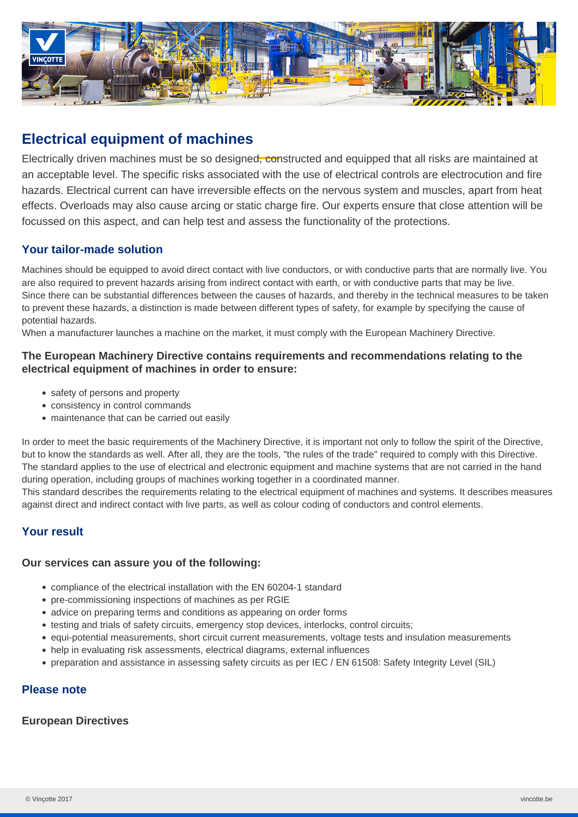

# **Electrical equipment of machines**

Electrically driven machines must be so designed, constructed and equipped that all risks are maintained at an acceptable level. The specific risks associated with the use of electrical controls are electrocution and fire hazards. Electrical current can have irreversible effects on the nervous system and muscles, apart from heat effects. Overloads may also cause arcing or static charge fire. Our experts ensure that close attention will be focussed on this aspect, and can help test and assess the functionality of the protections.

## **Your tailor-made solution**

Machines should be equipped to avoid direct contact with live conductors, or with conductive parts that are normally live. You are also required to prevent hazards arising from indirect contact with earth, or with conductive parts that may be live. Since there can be substantial differences between the causes of hazards, and thereby in the technical measures to be taken to prevent these hazards, a distinction is made between different types of safety, for example by specifying the cause of potential hazards.

When a manufacturer launches a machine on the market, it must comply with the European Machinery Directive.

## **The European Machinery Directive contains requirements and recommendations relating to the electrical equipment of machines in order to ensure:**

- safety of persons and property
- consistency in control commands
- maintenance that can be carried out easily

In order to meet the basic requirements of the Machinery Directive, it is important not only to follow the spirit of the Directive, but to know the standards as well. After all, they are the tools, "the rules of the trade" required to comply with this Directive. The standard applies to the use of electrical and electronic equipment and machine systems that are not carried in the hand during operation, including groups of machines working together in a coordinated manner.

This standard describes the requirements relating to the electrical equipment of machines and systems. It describes measures against direct and indirect contact with live parts, as well as colour coding of conductors and control elements.

## **Your result**

### **Our services can assure you of the following:**

- compliance of the electrical installation with the EN 60204-1 standard
- pre-commissioning inspections of machines as per RGIE
- advice on preparing terms and conditions as appearing on order forms
- testing and trials of safety circuits, emergency stop devices, interlocks, control circuits;
- equi-potential measurements, short circuit current measurements, voltage tests and insulation measurements
- help in evaluating risk assessments, electrical diagrams, external influences
- preparation and assistance in assessing safety circuits as per IEC / EN 61508: Safety Integrity Level (SIL)

## **Please note**

#### **European Directives**